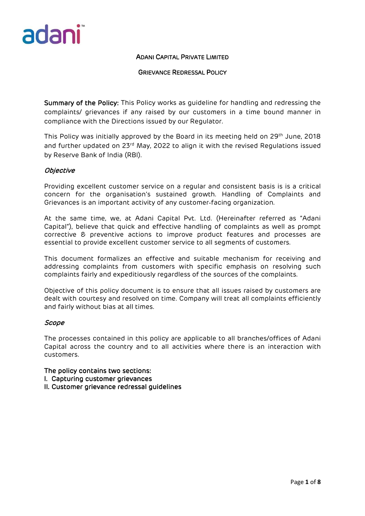

# GRIEVANCE REDRESSAL POLICY

Summary of the Policy: This Policy works as guideline for handling and redressing the complaints/ grievances if any raised by our customers in a time bound manner in compliance with the Directions issued by our Regulator.

This Policy was initially approved by the Board in its meeting held on 29<sup>th</sup> June, 2018 and further updated on 23<sup>rd</sup> May, 2022 to align it with the revised Regulations issued by Reserve Bank of India (RBI).

# **Objective**

Providing excellent customer service on a regular and consistent basis is is a critical concern for the organisation's sustained growth. Handling of Complaints and Grievances is an important activity of any customer‐facing organization.

At the same time, we, at Adani Capital Pvt. Ltd. (Hereinafter referred as "Adani Capital"), believe that quick and effective handling of complaints as well as prompt corrective & preventive actions to improve product features and processes are essential to provide excellent customer service to all segments of customers.

This document formalizes an effective and suitable mechanism for receiving and addressing complaints from customers with specific emphasis on resolving such complaints fairly and expeditiously regardless of the sources of the complaints.

Objective of this policy document is to ensure that all issues raised by customers are dealt with courtesy and resolved on time. Company will treat all complaints efficiently and fairly without bias at all times.

# Scope

The processes contained in this policy are applicable to all branches/offices of Adani Capital across the country and to all activities where there is an interaction with customers.

The policy contains two sections:

- I. Capturing customer grievances
- II. Customer grievance redressal guidelines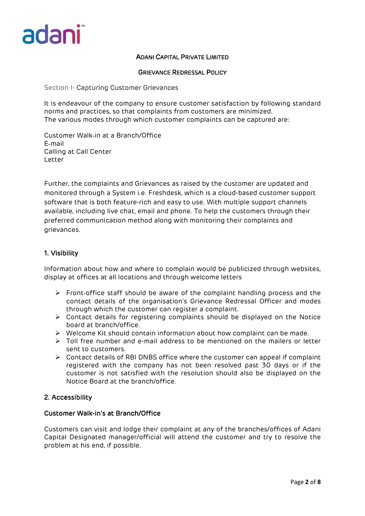

### GRIEVANCE REDRESSAL POLICY

#### Section I- Capturing Customer Grievances

It is endeavour of the company to ensure customer satisfaction by following standard norms and practices, so that complaints from customers are minimized. The various modes through which customer complaints can be captured are:

Customer Walk‐in at a Branch/Office E‐mail Calling at Call Center Letter

Further, the complaints and Grievances as raised by the customer are updated and monitored through a System i.e. Freshdesk, which is a cloud-based customer support software that is both feature-rich and easy to use. With multiple support channels available, including live chat, email and phone. To help the customers through their preferred communication method along with monitoring their complaints and grievances.

# 1. Visibility

Information about how and where to complain would be publicized through websites, display at offices at all locations and through welcome letters

- Front‐office staff should be aware of the complaint handling process and the contact details of the organisation's Grievance Redressal Officer and modes through which the customer can register a complaint.
- Contact details for registering complaints should be displayed on the Notice board at branch/office.
- $\triangleright$  Welcome Kit should contain information about how complaint can be made.
- $\triangleright$  Toll free number and e-mail address to be mentioned on the mailers or letter sent to customers.
- Contact details of RBI DNBS office where the customer can appeal if complaint registered with the company has not been resolved past 30 days or if the customer is not satisfied with the resolution should also be displayed on the Notice Board at the branch/office.

# 2. Accessibility

# Customer Walk-in's at Branch/Office

Customers can visit and lodge their complaint at any of the branches/offices of Adani Capital Designated manager/official will attend the customer and try to resolve the problem at his end, if possible.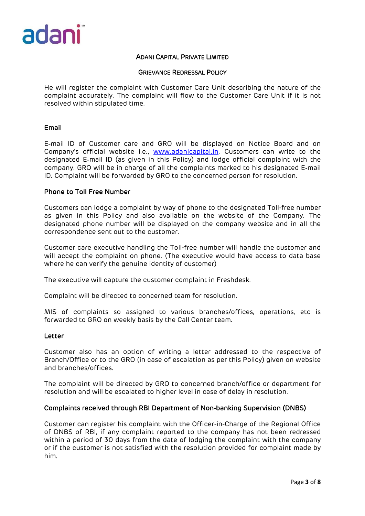

#### GRIEVANCE REDRESSAL POLICY

He will register the complaint with Customer Care Unit describing the nature of the complaint accurately. The complaint will flow to the Customer Care Unit if it is not resolved within stipulated time.

## Email

E‐mail ID of Customer care and GRO will be displayed on Notice Board and on Company's official website i.e., [www.adanicapital.in.](http://www.adanicapital.in/) Customers can write to the designated E‐mail ID (as given in this Policy) and lodge official complaint with the company. GRO will be in charge of all the complaints marked to his designated E‐mail ID. Complaint will be forwarded by GRO to the concerned person for resolution.

#### Phone to Toll Free Number

Customers can lodge a complaint by way of phone to the designated Toll-free number as given in this Policy and also available on the website of the Company. The designated phone number will be displayed on the company website and in all the correspondence sent out to the customer.

Customer care executive handling the Toll-free number will handle the customer and will accept the complaint on phone. (The executive would have access to data base where he can verify the genuine identity of customer)

The executive will capture the customer complaint in Freshdesk.

Complaint will be directed to concerned team for resolution.

MIS of complaints so assigned to various branches/offices, operations, etc is forwarded to GRO on weekly basis by the Call Center team.

#### Letter

Customer also has an option of writing a letter addressed to the respective of Branch/Office or to the GRO (in case of escalation as per this Policy) given on website and branches/offices.

The complaint will be directed by GRO to concerned branch/office or department for resolution and will be escalated to higher level in case of delay in resolution.

# Complaints received through RBI Department of Non**‐**banking Supervision (DNBS)

Customer can register his complaint with the Officer‐in‐Charge of the Regional Office of DNBS of RBI, if any complaint reported to the company has not been redressed within a period of 30 days from the date of lodging the complaint with the company or if the customer is not satisfied with the resolution provided for complaint made by him.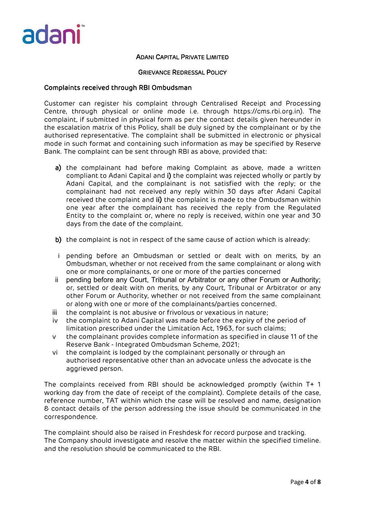

#### GRIEVANCE REDRESSAL POLICY

### Complaints received through RBI Ombudsman

Customer can register his complaint through Centralised Receipt and Processing Centre, through physical or online mode i.e. through https://cms.rbi.org.in). The complaint, if submitted in physical form as per the contact details given hereunder in the escalation matrix of this Policy, shall be duly signed by the complainant or by the authorised representative. The complaint shall be submitted in electronic or physical mode in such format and containing such information as may be specified by Reserve Bank. The complaint can be sent through RBI as above, provided that:

- a) the complainant had before making Complaint as above, made a written compliant to Adani Capital and i) the complaint was rejected wholly or partly by Adani Capital, and the complainant is not satisfied with the reply; or the complainant had not received any reply within 30 days after Adani Capital received the complaint and ii) the complaint is made to the Ombudsman within one year after the complainant has received the reply from the Regulated Entity to the complaint or, where no reply is received, within one year and 30 days from the date of the complaint.
- b) the complaint is not in respect of the same cause of action which is already:
- i pending before an Ombudsman or settled or dealt with on merits, by an Ombudsman, whether or not received from the same complainant or along with one or more complainants, or one or more of the parties concerned
- ii pending before any Court, Tribunal or Arbitrator or any other Forum or Authority; or, settled or dealt with on merits, by any Court, Tribunal or Arbitrator or any other Forum or Authority, whether or not received from the same complainant or along with one or more of the complainants/parties concerned.
- iii the complaint is not abusive or frivolous or vexatious in nature;
- iv the complaint to Adani Capital was made before the expiry of the period of limitation prescribed under the Limitation Act, 1963, for such claims;
- v the complainant provides complete information as specified in clause 11 of the Reserve Bank - Integrated Ombudsman Scheme, 2021;
- vi the complaint is lodged by the complainant personally or through an authorised representative other than an advocate unless the advocate is the aggrieved person.

The complaints received from RBI should be acknowledged promptly (within T+ 1 working day from the date of receipt of the complaint). Complete details of the case, reference number, TAT within which the case will be resolved and name, designation & contact details of the person addressing the issue should be communicated in the correspondence.

The complaint should also be raised in Freshdesk for record purpose and tracking. The Company should investigate and resolve the matter within the specified timeline. and the resolution should be communicated to the RBI.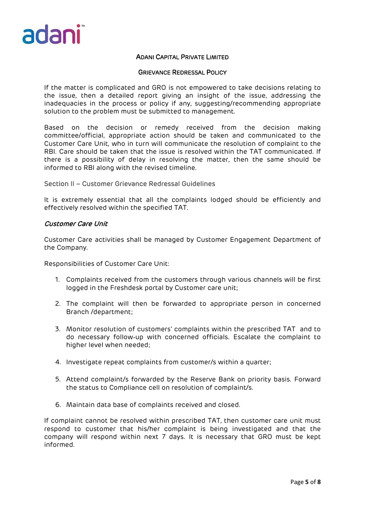

#### GRIEVANCE REDRESSAL POLICY

If the matter is complicated and GRO is not empowered to take decisions relating to the issue, then a detailed report giving an insight of the issue, addressing the inadequacies in the process or policy if any, suggesting/recommending appropriate solution to the problem must be submitted to management.

Based on the decision or remedy received from the decision making committee/official, appropriate action should be taken and communicated to the Customer Care Unit, who in turn will communicate the resolution of complaint to the RBI. Care should be taken that the issue is resolved within the TAT communicated. If there is a possibility of delay in resolving the matter, then the same should be informed to RBI along with the revised timeline.

Section II – Customer Grievance Redressal Guidelines

It is extremely essential that all the complaints lodged should be efficiently and effectively resolved within the specified TAT.

### Customer Care Unit

Customer Care activities shall be managed by Customer Engagement Department of the Company.

Responsibilities of Customer Care Unit:

- 1. Complaints received from the customers through various channels will be first logged in the Freshdesk portal by Customer care unit;
- 2. The complaint will then be forwarded to appropriate person in concerned Branch /department;
- 3. Monitor resolution of customers' complaints within the prescribed TAT and to do necessary follow‐up with concerned officials. Escalate the complaint to higher level when needed;
- 4. Investigate repeat complaints from customer/s within a quarter;
- 5. Attend complaint/s forwarded by the Reserve Bank on priority basis. Forward the status to Compliance cell on resolution of complaint/s.
- 6. Maintain data base of complaints received and closed.

If complaint cannot be resolved within prescribed TAT, then customer care unit must respond to customer that his/her complaint is being investigated and that the company will respond within next 7 days. It is necessary that GRO must be kept informed.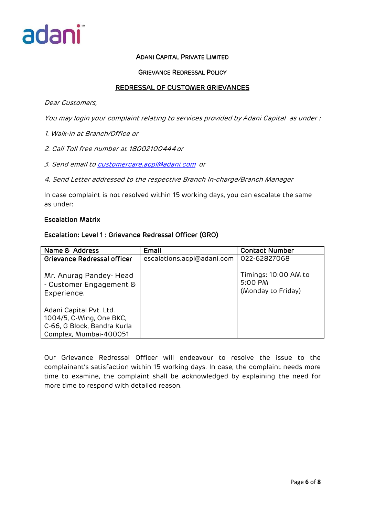

## GRIEVANCE REDRESSAL POLICY

# REDRESSAL OF CUSTOMER GRIEVANCES

#### Dear Customers,

You may login your complaint relating to services provided by Adani Capital as under :

- 1. Walk-in at Branch/Office or
- 2. Call Toll free number at 18002100444or
- 3. Send email t[o customercare.acpl@adani.com](mailto:customercare.acpl@adani.com) or
- 4. Send Letter addressed to the respective Branch In-charge/Branch Manager

In case complaint is not resolved within 15 working days, you can escalate the same as under:

#### Escalation Matrix

### Escalation: Level 1 : Grievance Redressal Officer (GRO)

| Name & Address                                                                                               | Email                      | <b>Contact Number</b>                                 |
|--------------------------------------------------------------------------------------------------------------|----------------------------|-------------------------------------------------------|
| Grievance Redressal officer                                                                                  | escalations.acpl@adani.com | 022-62827068                                          |
| Mr. Anurag Pandey- Head<br>- Customer Engagement &<br>Experience.                                            |                            | Timings: 10:00 AM to<br>5:00 PM<br>(Monday to Friday) |
| Adani Capital Pvt. Ltd.<br>1004/5, C-Wing, One BKC,<br>C-66, G Block, Bandra Kurla<br>Complex, Mumbai-400051 |                            |                                                       |

Our Grievance Redressal Officer will endeavour to resolve the issue to the complainant's satisfaction within 15 working days. In case, the complaint needs more time to examine, the complaint shall be acknowledged by explaining the need for more time to respond with detailed reason.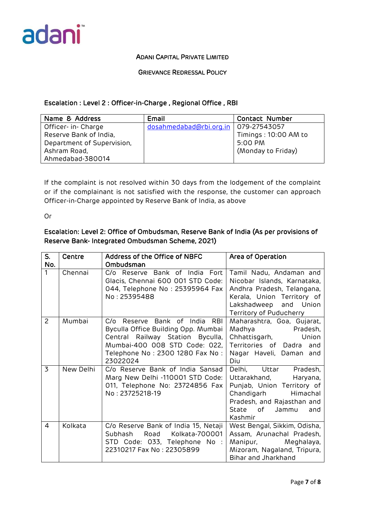

# GRIEVANCE REDRESSAL POLICY

# Escalation : Level 2 : Officer-in-Charge , Regional Office , RBI

| Name & Address             | Email                                  | <b>Contact Number</b> |  |
|----------------------------|----------------------------------------|-----------------------|--|
| Officer- in- Charge        | dosahmedabad@rbi.org.in   079-27543057 |                       |  |
| Reserve Bank of India,     |                                        | Timings: 10:00 AM to  |  |
| Department of Supervision, |                                        | $5:00$ PM             |  |
| Ashram Road,               |                                        | (Monday to Friday)    |  |
| Ahmedabad-380014           |                                        |                       |  |

If the complaint is not resolved within 30 days from the lodgement of the complaint or if the complainant is not satisfied with the response, the customer can approach Officer-in-Charge appointed by Reserve Bank of India, as above

Or

# Escalation: Level 2: Office of Ombudsman, Reserve Bank of India (As per provisions of Reserve Bank- Integrated Ombudsman Scheme, 2021)

| S.<br>No.      | Centre    | Address of the Office of NBFC<br>Ombudsman                                                                                                                                                           | Area of Operation                                                                                                                                                                    |
|----------------|-----------|------------------------------------------------------------------------------------------------------------------------------------------------------------------------------------------------------|--------------------------------------------------------------------------------------------------------------------------------------------------------------------------------------|
| 1              | Chennai   | C/o Reserve Bank of India Fort<br>Glacis, Chennai 600 001 STD Code:<br>044, Telephone No: 25395964 Fax<br>No: 25395488                                                                               | Tamil Nadu, Andaman and<br>Nicobar Islands, Karnataka,<br>Andhra Pradesh, Telangana,<br>Kerala, Union Territory of<br>Lakshadweep<br>and Union<br>Territory of Puducherry            |
| 2              | Mumbai    | C/o Reserve Bank of India<br><b>RBI</b><br>Byculla Office Building Opp. Mumbai<br>Central Railway Station Byculla,<br>Mumbai-400 008 STD Code: 022,<br>Telephone No : 2300 1280 Fax No :<br>23022024 | Maharashtra, Goa, Gujarat,<br>Madhya Pradesh,<br>Union<br>Chhattisgarh,<br>Territories of Dadra<br>and<br>Nagar Haveli, Daman and<br>Diu                                             |
| $\overline{3}$ | New Delhi | C/o Reserve Bank of India Sansad<br>Marg New Delhi -110001 STD Code:<br>011, Telephone No: 23724856 Fax<br>No: 23725218-19                                                                           | Delhi, Uttar<br>Pradesh,<br>Uttarakhand,<br>Haryana,<br>Punjab, Union Territory of<br>Chandigarh<br>Himachal<br>Pradesh, and Rajasthan and<br>of<br>State<br>Jammu<br>and<br>Kashmir |
| $\overline{4}$ | Kolkata   | C/o Reserve Bank of India 15, Netaji<br>Subhash<br>Road<br>Kolkata-700001<br>STD Code: 033, Telephone No :<br>22310217 Fax No: 22305899                                                              | West Bengal, Sikkim, Odisha,<br>Assam, Arunachal Pradesh,<br>Manipur,<br>Meghalaya,<br>Mizoram, Nagaland, Tripura,<br>Bihar and Jharkhand                                            |